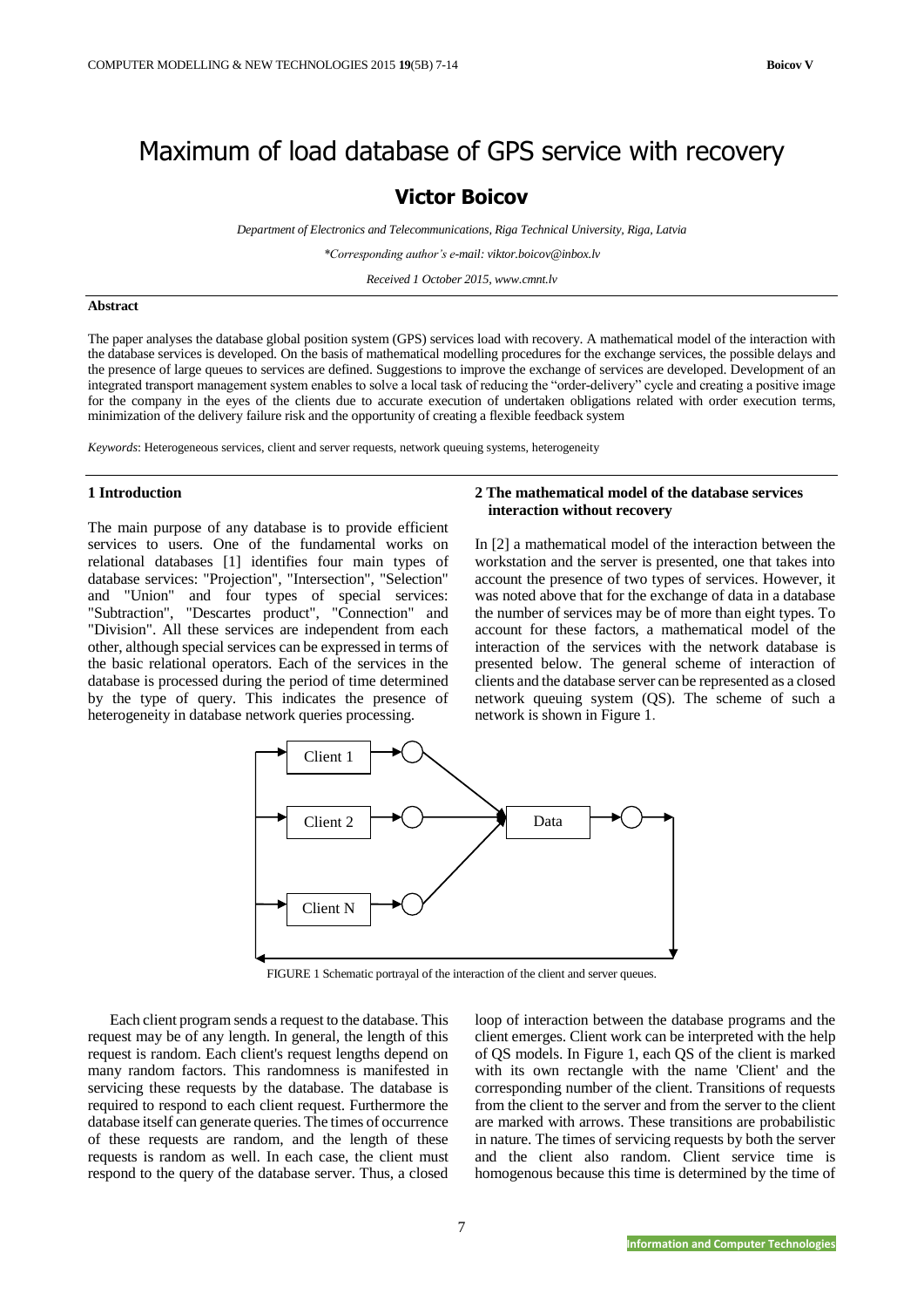# Maximum of load database of GPS service with recovery

# **Victor Boicov**

*Department of Electronics and Telecommunications, Riga Technical University, Riga, Latvia*

*\*Corresponding author's e-mail: viktor.boicov@inbox.lv*

*Received 1 October 2015, www.cmnt.lv*

# **Abstract**

The paper analyses the database global position system (GPS) services load with recovery. A mathematical model of the interaction with the database services is developed. On the basis of mathematical modelling procedures for the exchange services, the possible delays and the presence of large queues to services are defined. Suggestions to improve the exchange of services are developed. Development of an integrated transport management system enables to solve a local task of reducing the "order-delivery" cycle and creating a positive image for the company in the eyes of the clients due to accurate execution of undertaken obligations related with order execution terms, minimization of the delivery failure risk and the opportunity of creating a flexible feedback system

*Keywords*: Heterogeneous services, client and server requests, network queuing systems, heterogeneity

## **1 Introduction**

The main purpose of any database is to provide efficient services to users. One of the fundamental works on relational databases [1] identifies four main types of database services: "Projection", "Intersection", "Selection" and "Union" and four types of special services: "Subtraction", "Descartes product", "Connection" and "Division". All these services are independent from each other, although special services can be expressed in terms of the basic relational operators. Each of the services in the database is processed during the period of time determined by the type of query. This indicates the presence of heterogeneity in database network queries processing.

# **2 The mathematical model of the database services interaction without recovery**

In [2] a mathematical model of the interaction between the workstation and the server is presented, one that takes into account the presence of two types of services. However, it was noted above that for the exchange of data in a database the number of services may be of more than eight types. To account for these factors, a mathematical model of the interaction of the services with the network database is presented below. The general scheme of interaction of clients and the database server can be represented as a closed network queuing system (QS). The scheme of such a network is shown in Figure 1.



FIGURE 1 Schematic portrayal of the interaction of the client and server queues.

7

Each client program sends a request to the database. This request may be of any length. In general, the length of this request is random. Each client's request lengths depend on many random factors. This randomness is manifested in servicing these requests by the database. The database is required to respond to each client request. Furthermore the database itself can generate queries. The times of occurrence of these requests are random, and the length of these requests is random as well. In each case, the client must respond to the query of the database server. Thus, a closed

loop of interaction between the database programs and the client emerges. Client work can be interpreted with the help of QS models. In Figure 1, each QS of the client is marked with its own rectangle with the name 'Client' and the corresponding number of the client. Transitions of requests from the client to the server and from the server to the client are marked with arrows. These transitions are probabilistic in nature. The times of servicing requests by both the server and the client also random. Client service time is homogenous because this time is determined by the time of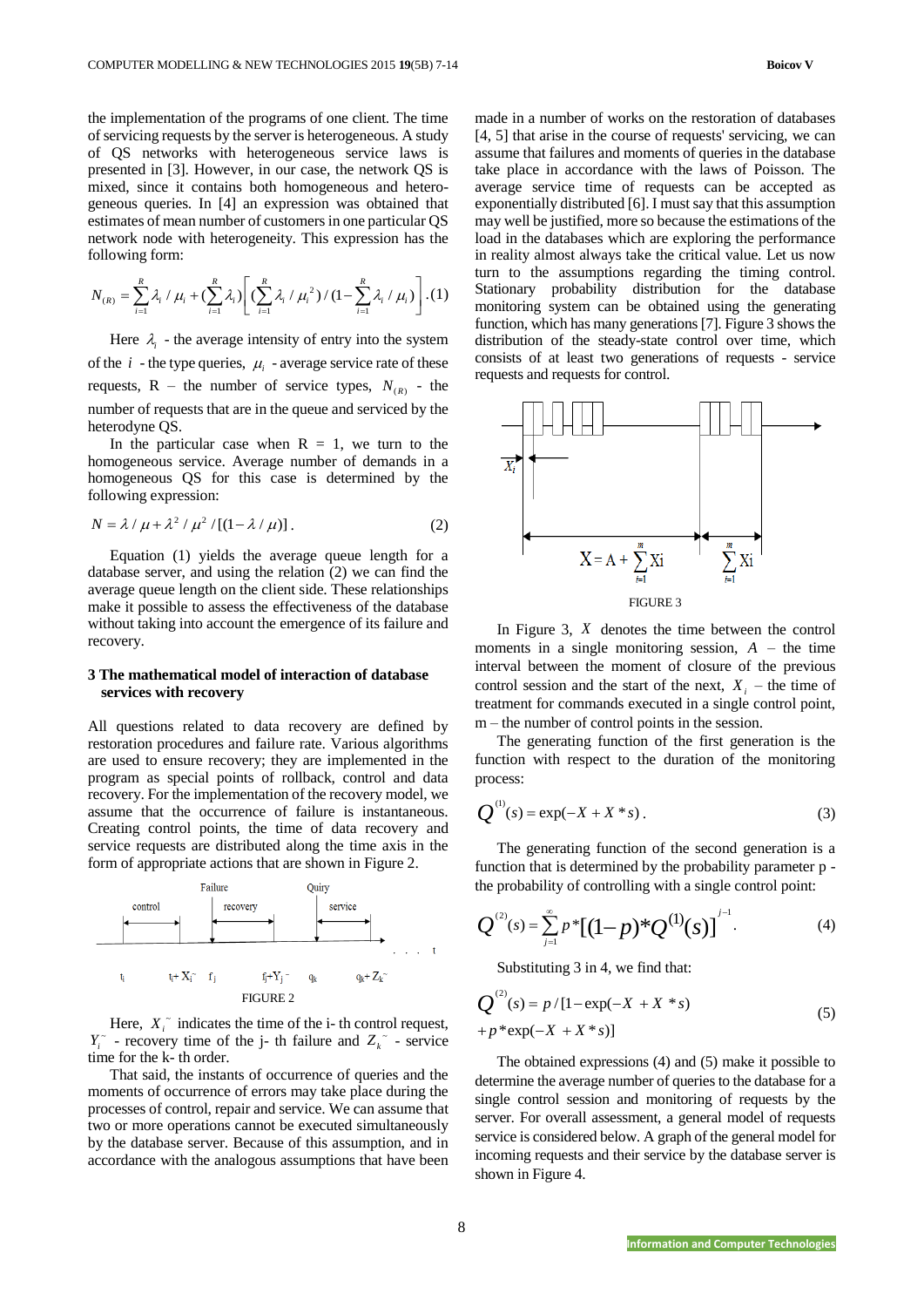the implementation of the programs of one client. The time of servicing requests by the server is heterogeneous. A study of QS networks with heterogeneous service laws is presented in [3]. However, in our case, the network QS is mixed, since it contains both homogeneous and heterogeneous queries. In [4] an expression was obtained that estimates of mean number of customers in one particular QS network node with heterogeneity. This expression has the following form:

following form:  
\n
$$
N_{(R)} = \sum_{i=1}^{R} \lambda_i / \mu_i + (\sum_{i=1}^{R} \lambda_i) \left[ \left( \sum_{i=1}^{R} \lambda_i / \mu_i^2 \right) / (1 - \sum_{i=1}^{R} \lambda_i / \mu_i) \right]. (1)
$$

Here  $\lambda_i$  - the average intensity of entry into the system of the  $i$  - the type queries,  $\mu_i$  - average service rate of these requests,  $R$  – the number of service types,  $N_{(R)}$  - the number of requests that are in the queue and serviced by the heterodyne QS.

In the particular case when  $R = 1$ , we turn to the homogeneous service. Average number of demands in a homogeneous QS for this case is determined by the following expression:

$$
N = \lambda / \mu + \lambda^2 / \mu^2 / [(1 - \lambda / \mu)].
$$
 (2)

Equation (1) yields the average queue length for a database server, and using the relation (2) we can find the average queue length on the client side. These relationships make it possible to assess the effectiveness of the database without taking into account the emergence of its failure and recovery.

# **3 The mathematical model of interaction of database services with recovery**

All questions related to data recovery are defined by restoration procedures and failure rate. Various algorithms are used to ensure recovery; they are implemented in the program as special points of rollback, control and data recovery. For the implementation of the recovery model, we assume that the occurrence of failure is instantaneous. Creating control points, the time of data recovery and service requests are distributed along the time axis in the form of appropriate actions that are shown in Figure 2.



Here,  $X_i$ <sup> $\sim$ </sup> indicates the time of the i- th control request,  $Y_i$ <sup> $\sim$ </sup> - recovery time of the j- th failure and  $Z_k$ <sup> $\sim$ </sup> - service time for the k- th order.

That said, the instants of occurrence of queries and the moments of occurrence of errors may take place during the processes of control, repair and service. We can assume that two or more operations cannot be executed simultaneously by the database server. Because of this assumption, and in accordance with the analogous assumptions that have been

made in a number of works on the restoration of databases [4, 5] that arise in the course of requests' servicing, we can assume that failures and moments of queries in the database take place in accordance with the laws of Poisson. The average service time of requests can be accepted as exponentially distributed [6]. I must say that this assumption may well be justified, more so because the estimations of the load in the databases which are exploring the performance in reality almost always take the critical value. Let us now turn to the assumptions regarding the timing control. Stationary probability distribution for the database monitoring system can be obtained using the generating function, which has many generations [7]. Figure 3 shows the distribution of the steady-state control over time, which consists of at least two generations of requests - service requests and requests for control.



In Figure 3, *X* denotes the time between the control moments in a single monitoring session,  $A$  – the time interval between the moment of closure of the previous control session and the start of the next,  $X_i$  – the time of treatment for commands executed in a single control point, m – the number of control points in the session.

The generating function of the first generation is the function with respect to the duration of the monitoring process:

$$
Q^{(1)}(s) = \exp(-X + X * s).
$$
 (3)

The generating function of the second generation is a function that is determined by the probability parameter p the probability of controlling with a single control point:

$$
Q^{^{(2)}}(s) = \sum_{j=1}^{\infty} p^* [(1-p)^* Q^{(1)}(s)]^{j-1}.
$$
 (4)

Substituting 3 in 4, we find that:

$$
Q^{(2)}(s) = p/[1 - \exp(-X + X * s) + p * \exp(-X + X * s)]
$$
\n(5)

The obtained expressions (4) and (5) make it possible to determine the average number of queries to the database for a single control session and monitoring of requests by the server. For overall assessment, a general model of requests service is considered below. A graph of the general model for incoming requests and their service by the database server is shown in Figure 4.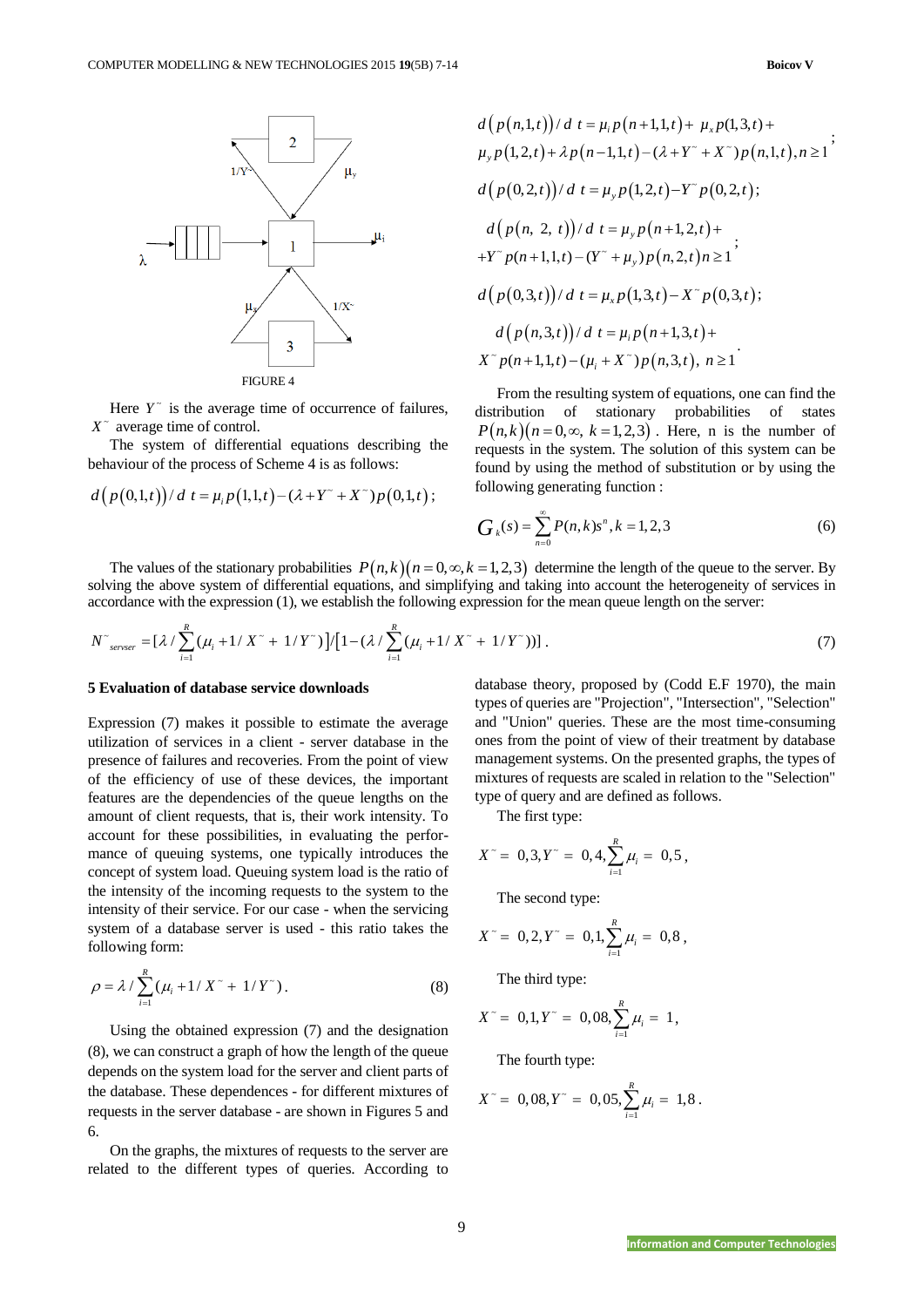

Here  $Y^{\dagger}$  is the average time of occurrence of failures,  $X^{\sim}$  average time of control.

The system of differential equations describing the

behavior of the process of Scheme 4 is as follows:  
\n
$$
d\left(\frac{p(0,1,t)}{dt} \neq \mu_i p(1,1,t) - (\lambda + Y^* + X^*)p(0,1,t)\right);
$$

$$
d(p(n,1,t))/d t = \mu_i p(n+1,1,t) + \mu_x p(1,3,t) +
$$
  
\n
$$
\mu_y p(1,2,t) + \lambda p(n-1,1,t) - (\lambda + Y^* + X^*)p(n,1,t), n \ge 1
$$
  
\n
$$
d(p(0,2,t))/d t = \mu_y p(1,2,t) - Y^*p(0,2,t);
$$
  
\n
$$
d(p(n, 2, t))/d t = \mu_y p(n+1,2,t) +
$$
  
\n
$$
+Y^*p(n+1,1,t) - (Y^* + \mu_y)p(n,2,t)n \ge 1
$$
  
\n
$$
d(p(0,3,t))/d t = \mu_x p(1,3,t) - X^*p(0,3,t);
$$
  
\n
$$
d(p(n,3,t))/d t = \mu_i p(n+1,3,t) +
$$
  
\n
$$
X^*p(n+1,1,t) - (\mu_i + X^*)p(n,3,t), n \ge 1
$$

From the resulting system of equations, one can find the distribution of stationary probabilities of states  $P(n,k)(n=0,\infty, k=1,2,3)$ . Here, n is the number of requests in the system. The solution of this system can be found by using the method of substitution or by using the following generating function :

$$
G_k(s) = \sum_{n=0}^{\infty} P(n,k)s^n, k = 1,2,3
$$
 (6)

The values of the stationary probabilities  $P(n,k)(n=0,\infty,k=1,2,3)$  determine the length of the queue to the server. By

solving the above system of differential equations, and simplifying and taking into account the heterogeneity of services in accordance with the expression (1), we establish the following expression for the mean queue length on the server:  
\n
$$
N^{\tau}_{server} = \left[\lambda / \sum_{i=1}^{R} (\mu_i + 1 / X^{\tau} + 1 / Y^{\tau})\right] / \left[1 - (\lambda / \sum_{i=1}^{R} (\mu_i + 1 / X^{\tau} + 1 / Y^{\tau}))\right].
$$
\n(7)

### **5 Evaluation of database service downloads**

Expression (7) makes it possible to estimate the average utilization of services in a client - server database in the presence of failures and recoveries. From the point of view of the efficiency of use of these devices, the important features are the dependencies of the queue lengths on the amount of client requests, that is, their work intensity. To account for these possibilities, in evaluating the performance of queuing systems, one typically introduces the concept of system load. Queuing system load is the ratio of the intensity of the incoming requests to the system to the intensity of their service. For our case - when the servicing system of a database server is used - this ratio takes the following form:

$$
\rho = \lambda / \sum_{i=1}^{R} (\mu_i + 1 / X^{\sim} + 1 / Y^{\sim}).
$$
\n(8)

Using the obtained expression (7) and the designation (8), we can construct a graph of how the length of the queue depends on the system load for the server and client parts of the database. These dependences - for different mixtures of requests in the server database - are shown in Figures 5 and 6.

On the graphs, the mixtures of requests to the server are related to the different types of queries. According to database theory, proposed by (Codd E.F 1970), the main types of queries are "Projection", "Intersection", "Selection" and "Union" queries. These are the most time-consuming ones from the point of view of their treatment by database management systems. On the presented graphs, the types of mixtures of requests are scaled in relation to the "Selection" type of query and are defined as follows.

The first type:

$$
X^{\sim} = 0,3, Y^{\sim} = 0,4, \sum_{i=1}^{R} \mu_i = 0,5,
$$

The second type:

$$
X^{\sim} = 0, 2, Y^{\sim} = 0, 1, \sum_{i=1}^{R} \mu_i = 0, 8,
$$

The third type:

$$
X^{\sim} = 0, 1, Y^{\sim} = 0, 08, \sum_{i=1}^{R} \mu_i = 1,
$$

The fourth type:

$$
X^{\sim} = 0.08, Y^{\sim} = 0.05, \sum_{i=1}^{R} \mu_i = 1, 8.
$$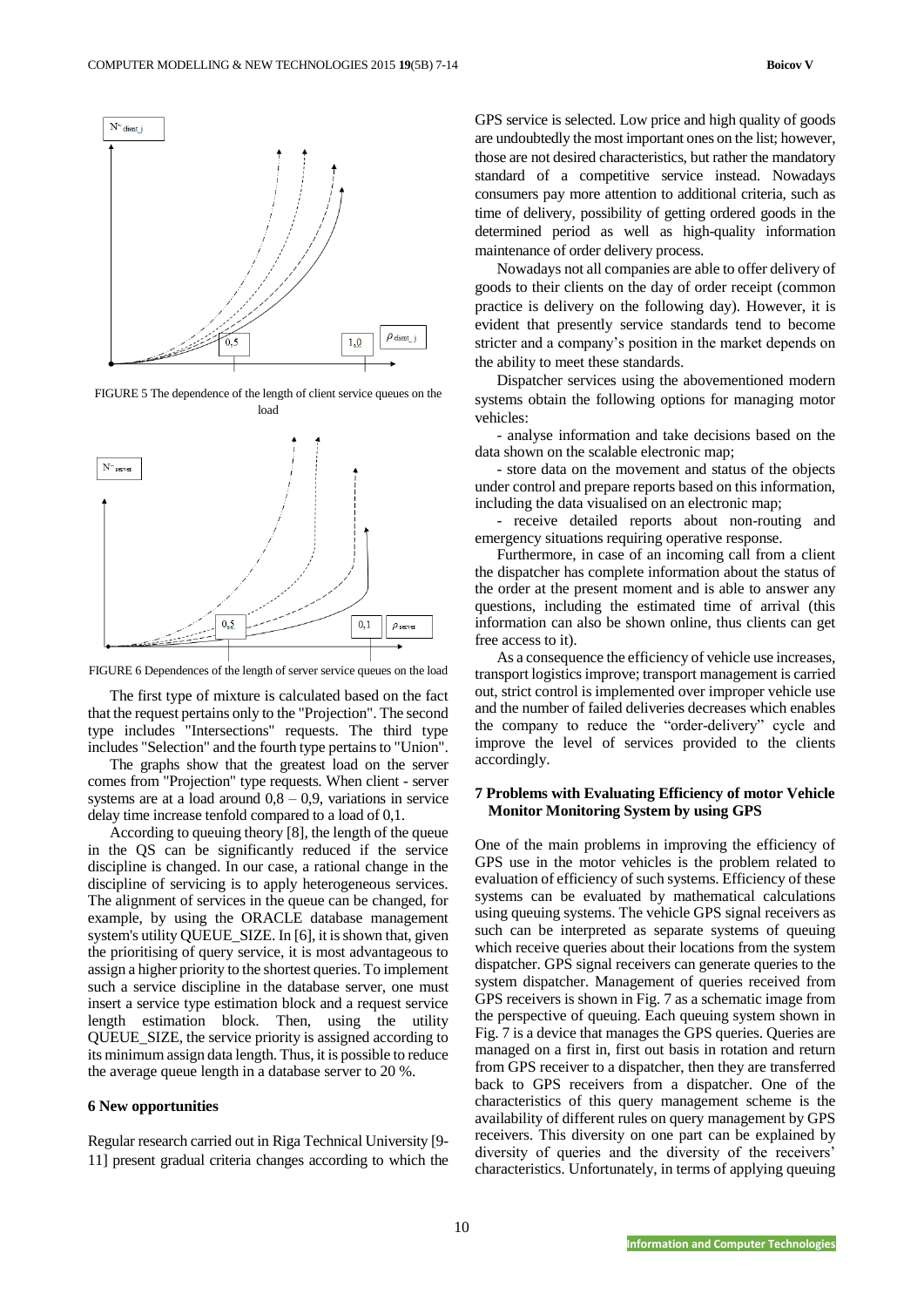

FIGURE 5 The dependence of the length of client service queues on the load



FIGURE 6 Dependences of the length of server service queues on the load

The first type of mixture is calculated based on the fact that the request pertains only to the "Projection". The second type includes "Intersections" requests. The third type includes "Selection" and the fourth type pertains to "Union".

The graphs show that the greatest load on the server comes from "Projection" type requests. When client - server systems are at a load around  $0,8 - 0,9$ , variations in service delay time increase tenfold compared to a load of 0,1.

According to queuing theory [8], the length of the queue in the QS can be significantly reduced if the service discipline is changed. In our case, a rational change in the discipline of servicing is to apply heterogeneous services. The alignment of services in the queue can be changed, for example, by using the ORACLE database management system's utility QUEUE\_SIZE. In [6], it is shown that, given the prioritising of query service, it is most advantageous to assign a higher priority to the shortest queries. To implement such a service discipline in the database server, one must insert a service type estimation block and a request service length estimation block. Then, using the utility QUEUE\_SIZE, the service priority is assigned according to its minimum assign data length. Thus, it is possible to reduce the average queue length in a database server to 20 %.

#### **6 New opportunities**

Regular research carried out in Riga Technical University [9- 11] present gradual criteria changes according to which the GPS service is selected. Low price and high quality of goods are undoubtedly the most important ones on the list; however, those are not desired characteristics, but rather the mandatory standard of a competitive service instead. Nowadays consumers pay more attention to additional criteria, such as time of delivery, possibility of getting ordered goods in the determined period as well as high-quality information maintenance of order delivery process.

Nowadays not all companies are able to offer delivery of goods to their clients on the day of order receipt (common practice is delivery on the following day). However, it is evident that presently service standards tend to become stricter and a company's position in the market depends on the ability to meet these standards.

Dispatcher services using the abovementioned modern systems obtain the following options for managing motor vehicles:

- analyse information and take decisions based on the data shown on the scalable electronic map;

- store data on the movement and status of the objects under control and prepare reports based on this information, including the data visualised on an electronic map;

- receive detailed reports about non-routing and emergency situations requiring operative response.

Furthermore, in case of an incoming call from a client the dispatcher has complete information about the status of the order at the present moment and is able to answer any questions, including the estimated time of arrival (this information can also be shown online, thus clients can get free access to it).

As a consequence the efficiency of vehicle use increases, transport logistics improve; transport management is carried out, strict control is implemented over improper vehicle use and the number of failed deliveries decreases which enables the company to reduce the "order-delivery" cycle and improve the level of services provided to the clients accordingly.

# **7 Problems with Evaluating Efficiency of motor Vehicle Monitor Monitoring System by using GPS**

One of the main problems in improving the efficiency of GPS use in the motor vehicles is the problem related to evaluation of efficiency of such systems. Efficiency of these systems can be evaluated by mathematical calculations using queuing systems. The vehicle GPS signal receivers as such can be interpreted as separate systems of queuing which receive queries about their locations from the system dispatcher. GPS signal receivers can generate queries to the system dispatcher. Management of queries received from GPS receivers is shown in Fig. 7 as a schematic image from the perspective of queuing. Each queuing system shown in Fig. 7 is a device that manages the GPS queries. Queries are managed on a first in, first out basis in rotation and return from GPS receiver to a dispatcher, then they are transferred back to GPS receivers from a dispatcher. One of the characteristics of this query management scheme is the availability of different rules on query management by GPS receivers. This diversity on one part can be explained by diversity of queries and the diversity of the receivers' characteristics. Unfortunately, in terms of applying queuing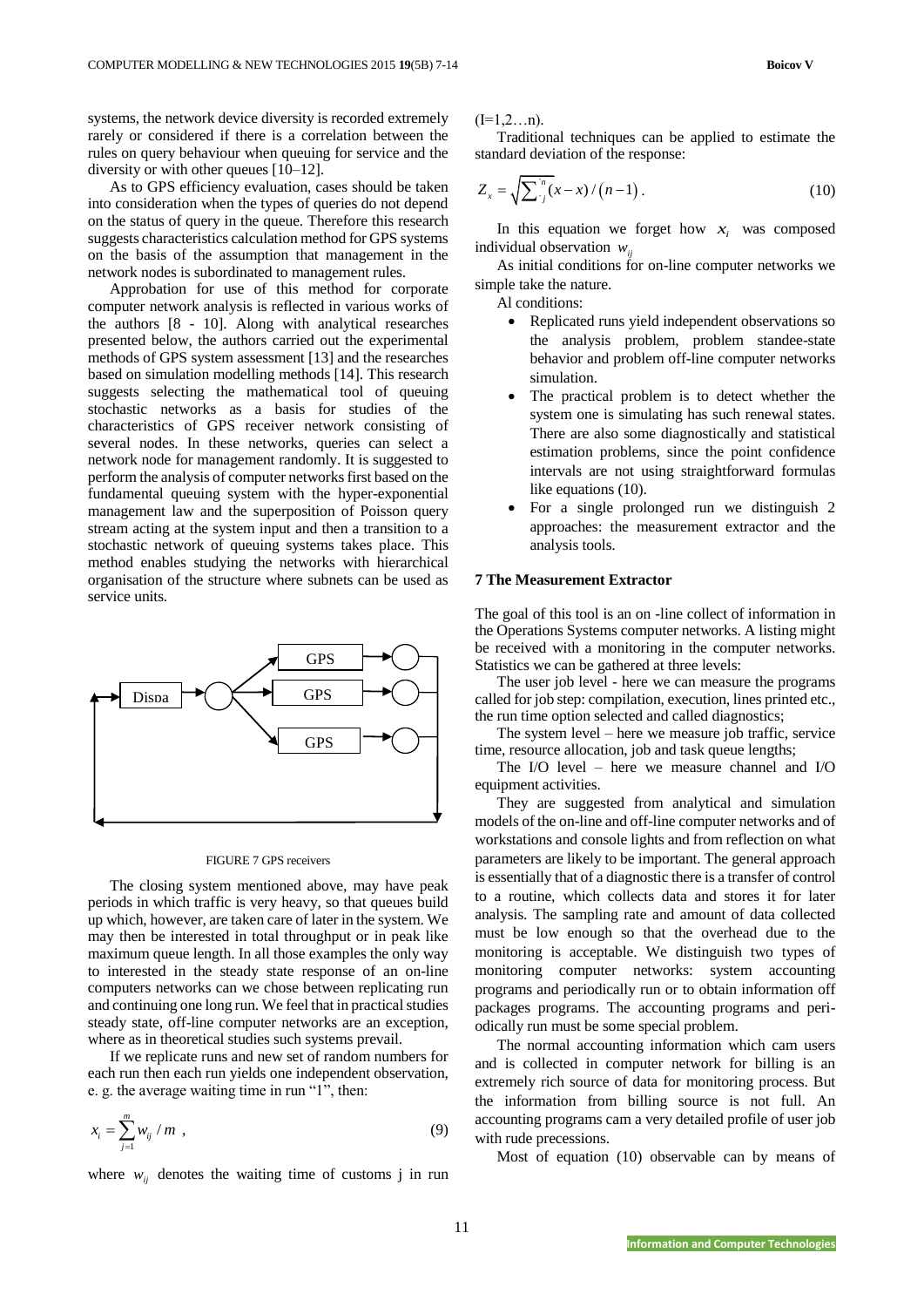systems, the network device diversity is recorded extremely rarely or considered if there is a correlation between the rules on query behaviour when queuing for service and the diversity or with other queues [10–12].

As to GPS efficiency evaluation, cases should be taken into consideration when the types of queries do not depend on the status of query in the queue. Therefore this research suggests characteristics calculation method for GPS systems on the basis of the assumption that management in the network nodes is subordinated to management rules.

Approbation for use of this method for corporate computer network analysis is reflected in various works of the authors [8 - 10]. Along with analytical researches presented below, the authors carried out the experimental methods of GPS system assessment [13] and the researches based on simulation modelling methods [14]. This research suggests selecting the mathematical tool of queuing stochastic networks as a basis for studies of the characteristics of GPS receiver network consisting of several nodes. In these networks, queries can select a network node for management randomly. It is suggested to perform the analysis of computer networks first based on the fundamental queuing system with the hyper-exponential management law and the superposition of Poisson query stream acting at the system input and then a transition to a stochastic network of queuing systems takes place. This method enables studying the networks with hierarchical organisation of the structure where subnets can be used as service units.



#### FIGURE 7 GPS receivers

The closing system mentioned above, may have peak periods in which traffic is very heavy, so that queues build up which, however, are taken care of later in the system. We may then be interested in total throughput or in peak like maximum queue length. In all those examples the only way to interested in the steady state response of an on-line computers networks can we chose between replicating run and continuing one long run. We feel that in practical studies steady state, off-line computer networks are an exception, where as in theoretical studies such systems prevail.

If we replicate runs and new set of random numbers for each run then each run yields one independent observation, e. g. the average waiting time in run "1", then:

$$
x_i = \sum_{j=1}^m w_{ij} / m \tag{9}
$$

where  $w_{ij}$  denotes the waiting time of customs j in run

 $(I=1,2...n)$ .

Traditional techniques can be applied to estimate the standard deviation of the response:

$$
Z_x = \sqrt{\sum_{j=1}^{n} (x - x) / (n - 1)}.
$$
 (10)

In this equation we forget how  $x_i$  was composed individual observation  $w_{ij}$ 

As initial conditions for on-line computer networks we simple take the nature.

Al conditions:

- Replicated runs yield independent observations so the analysis problem, problem standee-state behavior and problem off-line computer networks simulation.
- The practical problem is to detect whether the system one is simulating has such renewal states. There are also some diagnostically and statistical estimation problems, since the point confidence intervals are not using straightforward formulas like equations (10).
- For a single prolonged run we distinguish 2 approaches: the measurement extractor and the analysis tools.

### **7 The Measurement Extractor**

The goal of this tool is an on -line collect of information in the Operations Systems computer networks. A listing might be received with a monitoring in the computer networks. Statistics we can be gathered at three levels:

The user job level - here we can measure the programs called for job step: compilation, execution, lines printed etc., the run time option selected and called diagnostics;

The system level – here we measure job traffic, service time, resource allocation, job and task queue lengths;

The I/O level – here we measure channel and I/O equipment activities.

They are suggested from analytical and simulation models of the on-line and off-line computer networks and of workstations and console lights and from reflection on what parameters are likely to be important. The general approach is essentially that of a diagnostic there is a transfer of control to a routine, which collects data and stores it for later analysis. The sampling rate and amount of data collected must be low enough so that the overhead due to the monitoring is acceptable. We distinguish two types of monitoring computer networks: system accounting programs and periodically run or to obtain information off packages programs. The accounting programs and periodically run must be some special problem.

The normal accounting information which cam users and is collected in computer network for billing is an extremely rich source of data for monitoring process. But the information from billing source is not full. An accounting programs cam a very detailed profile of user job with rude precessions.

Most of equation (10) observable can by means of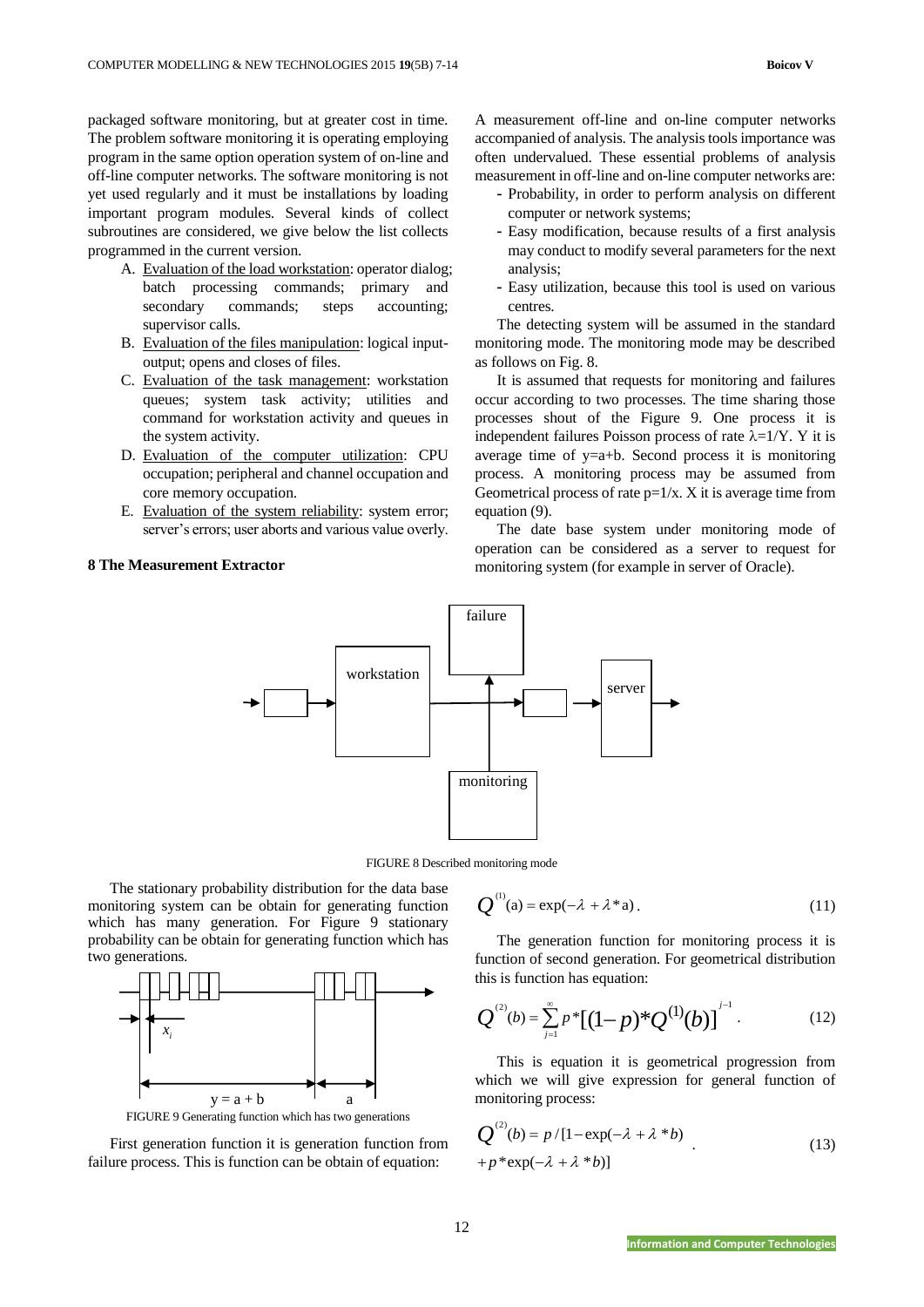packaged software monitoring, but at greater cost in time. The problem software monitoring it is operating employing program in the same option operation system of on-line and off-line computer networks. The software monitoring is not yet used regularly and it must be installations by loading important program modules. Several kinds of collect subroutines are considered, we give below the list collects programmed in the current version.

- A. Evaluation of the load workstation: operator dialog; batch processing commands; primary and secondary commands; steps accounting; supervisor calls.
- B. Evaluation of the files manipulation: logical inputoutput; opens and closes of files.
- C. Evaluation of the task management: workstation queues; system task activity; utilities and command for workstation activity and queues in the system activity.
- D. Evaluation of the computer utilization: CPU occupation; peripheral and channel occupation and core memory occupation.
- E. Evaluation of the system reliability: system error; server's errors; user aborts and various value overly.

#### **8 The Measurement Extractor**

A measurement off-line and on-line computer networks accompanied of analysis. The analysis tools importance was often undervalued. These essential problems of analysis measurement in off-line and on-line computer networks are:

- Probability, in order to perform analysis on different computer or network systems;
- Easy modification, because results of a first analysis may conduct to modify several parameters for the next analysis;
- Easy utilization, because this tool is used on various centres.

The detecting system will be assumed in the standard monitoring mode. The monitoring mode may be described as follows on Fig. 8.

It is assumed that requests for monitoring and failures occur according to two processes. The time sharing those processes shout of the Figure 9. One process it is independent failures Poisson process of rate  $\lambda=1/Y$ . Y it is average time of y=a+b. Second process it is monitoring process. A monitoring process may be assumed from Geometrical process of rate  $p=1/x$ . X it is average time from equation (9).

The date base system under monitoring mode of operation can be considered as a server to request for monitoring system (for example in server of Oracle).



FIGURE 8 Described monitoring mode

The stationary probability distribution for the data base monitoring system can be obtain for generating function which has many generation. For Figure 9 stationary probability can be obtain for generating function which has two generations.



FIGURE 9 Generating function which has two generations

First generation function it is generation function from failure process. This is function can be obtain of equation:

$$
Q^{(1)}(a) = \exp(-\lambda + \lambda^* a). \tag{11}
$$

The generation function for monitoring process it is function of second generation. For geometrical distribution this is function has equation:

$$
Q^{(2)}(b) = \sum_{j=1}^{\infty} p^* [(1-p)^* Q^{(1)}(b)]^{j-1}.
$$
 (12)

This is equation it is geometrical progression from which we will give expression for general function of monitoring process:

$$
Q^{(2)}(b) = p/[1 - \exp(-\lambda + \lambda * b) + p*\exp(-\lambda + \lambda * b)]
$$
\n(13)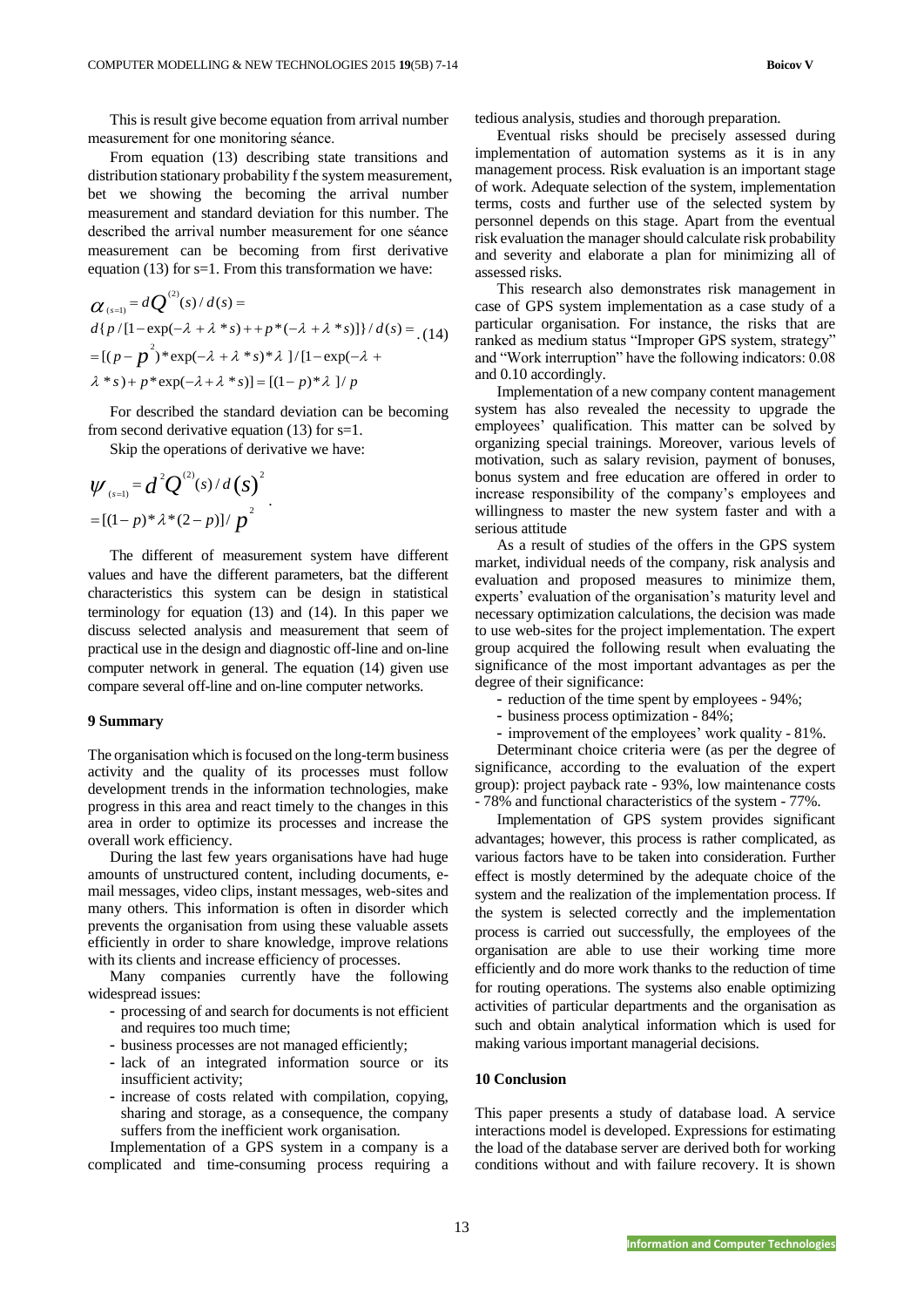This is result give become equation from arrival number measurement for one monitoring séance.

# From equation (13) describing state transitions and distribution stationary probability f the system measurement, bet we showing the becoming the arrival number measurement and standard deviation for this number. The described the arrival number measurement for one séance measurement can be becoming from first derivative

equation (13) for s=1. From this transformation we have:  
\n
$$
\alpha_{(s=1)} = dQ^{(2)}(s) / d(s) =
$$
\n
$$
d\{p/[1-\exp(-\lambda + \lambda * s) + p*(-\lambda + \lambda * s)]\} / d(s) = (14)
$$
\n
$$
= [(p-p^2)*\exp(-\lambda + \lambda * s)*\lambda]/[1-\exp(-\lambda + \lambda * s) + p*\exp(-\lambda + \lambda * s)] = [(1-p)*\lambda]/p
$$

For described the standard deviation can be becoming from second derivative equation (13) for s=1.

Skip the operations of derivative we have:

$$
\psi_{(s=1)} = d^2 Q^{(2)}(s) / d(s)^2
$$
  
= [(1-p)\*\lambda\*(2-p)]/p<sup>2</sup>

The different of measurement system have different values and have the different parameters, bat the different characteristics this system can be design in statistical terminology for equation (13) and (14). In this paper we discuss selected analysis and measurement that seem of practical use in the design and diagnostic off-line and on-line computer network in general. The equation (14) given use compare several off-line and on-line computer networks.

### **9 Summary**

The organisation which is focused on the long-term business activity and the quality of its processes must follow development trends in the information technologies, make progress in this area and react timely to the changes in this area in order to optimize its processes and increase the overall work efficiency.

During the last few years organisations have had huge amounts of unstructured content, including documents, email messages, video clips, instant messages, web-sites and many others. This information is often in disorder which prevents the organisation from using these valuable assets efficiently in order to share knowledge, improve relations with its clients and increase efficiency of processes.

Many companies currently have the following widespread issues:

- processing of and search for documents is not efficient and requires too much time;
- business processes are not managed efficiently;
- lack of an integrated information source or its insufficient activity;
- increase of costs related with compilation, copying, sharing and storage, as a consequence, the company suffers from the inefficient work organisation.

Implementation of a GPS system in a company is a complicated and time-consuming process requiring a tedious analysis, studies and thorough preparation.

Eventual risks should be precisely assessed during implementation of automation systems as it is in any management process. Risk evaluation is an important stage of work. Adequate selection of the system, implementation terms, costs and further use of the selected system by personnel depends on this stage. Apart from the eventual risk evaluation the manager should calculate risk probability and severity and elaborate a plan for minimizing all of assessed risks.

This research also demonstrates risk management in case of GPS system implementation as a case study of a particular organisation. For instance, the risks that are ranked as medium status "Improper GPS system, strategy" and "Work interruption" have the following indicators: 0.08 and 0.10 accordingly.

Implementation of a new company content management system has also revealed the necessity to upgrade the employees' qualification. This matter can be solved by organizing special trainings. Moreover, various levels of motivation, such as salary revision, payment of bonuses, bonus system and free education are offered in order to increase responsibility of the company's employees and willingness to master the new system faster and with a serious attitude

As a result of studies of the offers in the GPS system market, individual needs of the company, risk analysis and evaluation and proposed measures to minimize them, experts' evaluation of the organisation's maturity level and necessary optimization calculations, the decision was made to use web-sites for the project implementation. The expert group acquired the following result when evaluating the significance of the most important advantages as per the degree of their significance:

- reduction of the time spent by employees 94%;
- business process optimization 84%;
- improvement of the employees' work quality 81%.

Determinant choice criteria were (as per the degree of significance, according to the evaluation of the expert group): project payback rate - 93%, low maintenance costs - 78% and functional characteristics of the system - 77%.

Implementation of GPS system provides significant advantages; however, this process is rather complicated, as various factors have to be taken into consideration. Further effect is mostly determined by the adequate choice of the system and the realization of the implementation process. If the system is selected correctly and the implementation process is carried out successfully, the employees of the organisation are able to use their working time more efficiently and do more work thanks to the reduction of time for routing operations. The systems also enable optimizing activities of particular departments and the organisation as such and obtain analytical information which is used for making various important managerial decisions.

# **10 Conclusion**

This paper presents a study of database load. A service interactions model is developed. Expressions for estimating the load of the database server are derived both for working conditions without and with failure recovery. It is shown